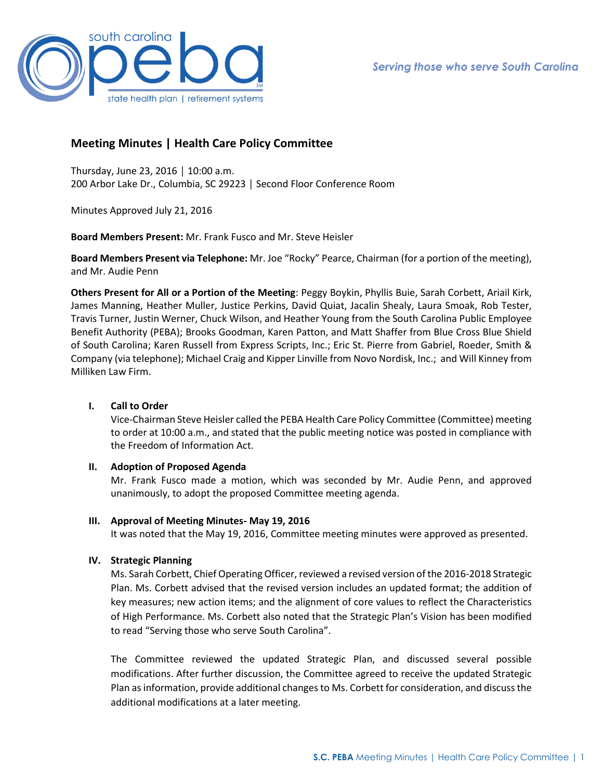

# **Meeting Minutes | Health Care Policy Committee**

Thursday, June 23, 2016 │ 10:00 a.m. 200 Arbor Lake Dr., Columbia, SC 29223 │ Second Floor Conference Room

Minutes Approved July 21, 2016

**Board Members Present:** Mr. Frank Fusco and Mr. Steve Heisler

**Board Members Present via Telephone:** Mr. Joe "Rocky" Pearce, Chairman (for a portion of the meeting), and Mr. Audie Penn

**Others Present for All or a Portion of the Meeting**: Peggy Boykin, Phyllis Buie, Sarah Corbett, Ariail Kirk, James Manning, Heather Muller, Justice Perkins, David Quiat, Jacalin Shealy, Laura Smoak, Rob Tester, Travis Turner, Justin Werner, Chuck Wilson, and Heather Young from the South Carolina Public Employee Benefit Authority (PEBA); Brooks Goodman, Karen Patton, and Matt Shaffer from Blue Cross Blue Shield of South Carolina; Karen Russell from Express Scripts, Inc.; Eric St. Pierre from Gabriel, Roeder, Smith & Company (via telephone); Michael Craig and Kipper Linville from Novo Nordisk, Inc.; and Will Kinney from Milliken Law Firm.

# **I. Call to Order**

Vice-Chairman Steve Heisler called the PEBA Health Care Policy Committee (Committee) meeting to order at 10:00 a.m., and stated that the public meeting notice was posted in compliance with the Freedom of Information Act.

#### **II. Adoption of Proposed Agenda**

Mr. Frank Fusco made a motion, which was seconded by Mr. Audie Penn, and approved unanimously, to adopt the proposed Committee meeting agenda.

#### **III. Approval of Meeting Minutes- May 19, 2016**

It was noted that the May 19, 2016, Committee meeting minutes were approved as presented.

#### **IV. Strategic Planning**

Ms. Sarah Corbett, Chief Operating Officer, reviewed a revised version of the 2016-2018 Strategic Plan. Ms. Corbett advised that the revised version includes an updated format; the addition of key measures; new action items; and the alignment of core values to reflect the Characteristics of High Performance. Ms. Corbett also noted that the Strategic Plan's Vision has been modified to read "Serving those who serve South Carolina".

The Committee reviewed the updated Strategic Plan, and discussed several possible modifications. After further discussion, the Committee agreed to receive the updated Strategic Plan as information, provide additional changes to Ms. Corbett for consideration, and discuss the additional modifications at a later meeting.